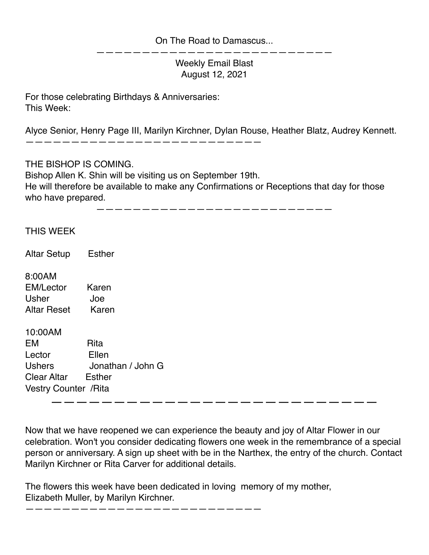## On The Road to Damascus...

Weekly Email Blast August 12, 2021

——————————————————————————

For those celebrating Birthdays & Anniversaries: This Week:

Alyce Senior, Henry Page III, Marilyn Kirchner, Dylan Rouse, Heather Blatz, Audrey Kennett.

——————————————————————————

THE BISHOP IS COMING.

Bishop Allen K. Shin will be visiting us on September 19th. He will therefore be available to make any Confirmations or Receptions that day for those who have prepared.

——————————————————————————

## THIS WEEK

Altar Setup Esther

8:00AM EM/Lector Karen Usher Joe Altar Reset Karen

10:00AM EM Rita Lector Ellen Ushers Jonathan / John G Clear Altar Esther Vestry Counter /Rita

——————————————————————————

Now that we have reopened we can experience the beauty and joy of Altar Flower in our celebration. Won't you consider dedicating flowers one week in the remembrance of a special person or anniversary. A sign up sheet with be in the Narthex, the entry of the church. Contact Marilyn Kirchner or Rita Carver for additional details.

The flowers this week have been dedicated in loving memory of my mother, Elizabeth Muller, by Marilyn Kirchner.

——————————————————————————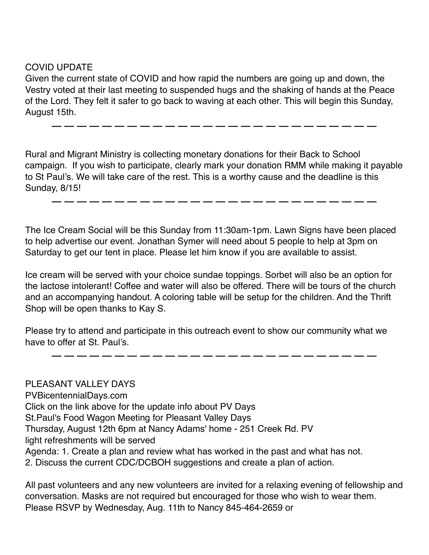COVID UPDATE

Given the current state of COVID and how rapid the numbers are going up and down, the Vestry voted at their last meeting to suspended hugs and the shaking of hands at the Peace of the Lord. They felt it safer to go back to waving at each other. This will begin this Sunday, August 15th.

Rural and Migrant Ministry is collecting monetary donations for their Back to School campaign. If you wish to participate, clearly mark your donation RMM while making it payable to St Paul's. We will take care of the rest. This is a worthy cause and the deadline is this Sunday, 8/15!

——————————————————————————

——————————————————————————

The Ice Cream Social will be this Sunday from 11:30am-1pm. Lawn Signs have been placed to help advertise our event. Jonathan Symer will need about 5 people to help at 3pm on Saturday to get our tent in place. Please let him know if you are available to assist.

Ice cream will be served with your choice sundae toppings. Sorbet will also be an option for the lactose intolerant! Coffee and water will also be offered. There will be tours of the church and an accompanying handout. A coloring table will be setup for the children. And the Thrift Shop will be open thanks to Kay S.

Please try to attend and participate in this outreach event to show our community what we have to offer at St. Paul's.

——————————————————————————

PLEASANT VALLEY DAYS PVBicentennialDays.com Click on the link above for the update info about PV Days St.Paul's Food Wagon Meeting for Pleasant Valley Days Thursday, August 12th 6pm at Nancy Adams' home - 251 Creek Rd. PV light refreshments will be served Agenda: 1. Create a plan and review what has worked in the past and what has not. 2. Discuss the current CDC/DCBOH suggestions and create a plan of action.

All past volunteers and any new volunteers are invited for a relaxing evening of fellowship and conversation. Masks are not required but encouraged for those who wish to wear them. Please RSVP by Wednesday, Aug. 11th to Nancy 845-464-2659 or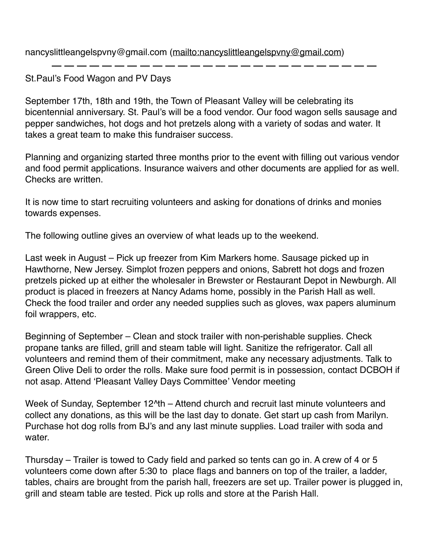nancyslittleangelspvny@gmail.com [\(mailto:nancyslittleangelspvny@gmail.com](mailto:nancyslittleangelspvny@gmail.com))

St. Paul's Food Wagon and PV Days

September 17th, 18th and 19th, the Town of Pleasant Valley will be celebrating its bicentennial anniversary. St. Paul's will be a food vendor. Our food wagon sells sausage and pepper sandwiches, hot dogs and hot pretzels along with a variety of sodas and water. It takes a great team to make this fundraiser success.

Planning and organizing started three months prior to the event with filling out various vendor and food permit applications. Insurance waivers and other documents are applied for as well. Checks are written.

It is now time to start recruiting volunteers and asking for donations of drinks and monies towards expenses.

The following outline gives an overview of what leads up to the weekend.

Last week in August – Pick up freezer from Kim Markers home. Sausage picked up in Hawthorne, New Jersey. Simplot frozen peppers and onions, Sabrett hot dogs and frozen pretzels picked up at either the wholesaler in Brewster or Restaurant Depot in Newburgh. All product is placed in freezers at Nancy Adams home, possibly in the Parish Hall as well. Check the food trailer and order any needed supplies such as gloves, wax papers aluminum foil wrappers, etc.

Beginning of September – Clean and stock trailer with non-perishable supplies. Check propane tanks are filled, grill and steam table will light. Sanitize the refrigerator. Call all volunteers and remind them of their commitment, make any necessary adjustments. Talk to Green Olive Deli to order the rolls. Make sure food permit is in possession, contact DCBOH if not asap. Attend 'Pleasant Valley Days Committee' Vendor meeting

Week of Sunday, September 12<sup>nd</sup> – Attend church and recruit last minute volunteers and collect any donations, as this will be the last day to donate. Get start up cash from Marilyn. Purchase hot dog rolls from BJ's and any last minute supplies. Load trailer with soda and water.

Thursday – Trailer is towed to Cady field and parked so tents can go in. A crew of 4 or 5 volunteers come down after 5:30 to place flags and banners on top of the trailer, a ladder, tables, chairs are brought from the parish hall, freezers are set up. Trailer power is plugged in, grill and steam table are tested. Pick up rolls and store at the Parish Hall.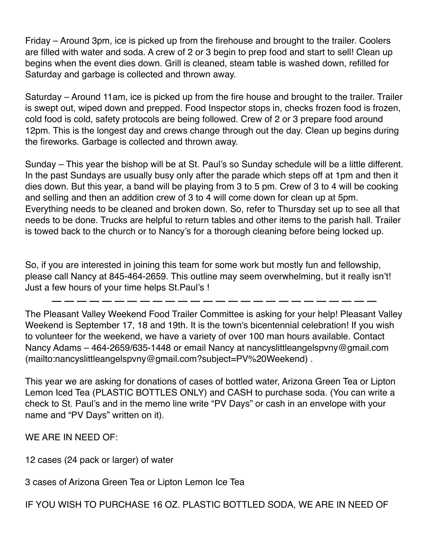Friday – Around 3pm, ice is picked up from the firehouse and brought to the trailer. Coolers are filled with water and soda. A crew of 2 or 3 begin to prep food and start to sell! Clean up begins when the event dies down. Grill is cleaned, steam table is washed down, refilled for Saturday and garbage is collected and thrown away.

Saturday – Around 11am, ice is picked up from the fire house and brought to the trailer. Trailer is swept out, wiped down and prepped. Food Inspector stops in, checks frozen food is frozen, cold food is cold, safety protocols are being followed. Crew of 2 or 3 prepare food around 12pm. This is the longest day and crews change through out the day. Clean up begins during the fireworks. Garbage is collected and thrown away.

Sunday – This year the bishop will be at St. Paul's so Sunday schedule will be a little different. In the past Sundays are usually busy only after the parade which steps off at 1pm and then it dies down. But this year, a band will be playing from 3 to 5 pm. Crew of 3 to 4 will be cooking and selling and then an addition crew of 3 to 4 will come down for clean up at 5pm. Everything needs to be cleaned and broken down. So, refer to Thursday set up to see all that needs to be done. Trucks are helpful to return tables and other items to the parish hall. Trailer is towed back to the church or to Nancy's for a thorough cleaning before being locked up.

So, if you are interested in joining this team for some work but mostly fun and fellowship, please call Nancy at 845-464-2659. This outline may seem overwhelming, but it really isn't! Just a few hours of your time helps St.Paul's !

The Pleasant Valley Weekend Food Trailer Committee is asking for your help! Pleasant Valley Weekend is September 17, 18 and 19th. It is the town's bicentennial celebration! If you wish to volunteer for the weekend, we have a variety of over 100 man hours available. Contact Nancy Adams – 464-2659/635-1448 or email Nancy at nancyslittleangelspvny@gmail.com (mailto:nancyslittleangelspvny@gmail.com?subject=PV%20Weekend) .

This year we are asking for donations of cases of bottled water, Arizona Green Tea or Lipton Lemon Iced Tea (PLASTIC BOTTLES ONLY) and CASH to purchase soda. (You can write a check to St. Paul's and in the memo line write "PV Days" or cash in an envelope with your name and "PV Days" written on it).

WE ARE IN NEED OF:

12 cases (24 pack or larger) of water

3 cases of Arizona Green Tea or Lipton Lemon Ice Tea

IF YOU WISH TO PURCHASE 16 OZ. PLASTIC BOTTLED SODA, WE ARE IN NEED OF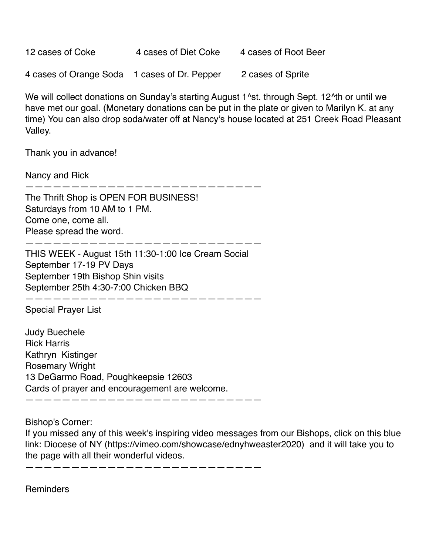| 12 cases of Coke                             | 4 cases of Diet Coke | 4 cases of Root Beer |
|----------------------------------------------|----------------------|----------------------|
| 4 cases of Orange Soda 1 cases of Dr. Pepper |                      | 2 cases of Sprite    |

We will collect donations on Sunday's starting August 1<sup>^</sup>st. through Sept. 12<sup>^th</sup> or until we have met our goal. (Monetary donations can be put in the plate or given to Marilyn K. at any time) You can also drop soda/water off at Nancy's house located at 251 Creek Road Pleasant Valley.

Thank you in advance!

Nancy and Rick

——————————————————————————

The Thrift Shop is OPEN FOR BUSINESS! Saturdays from 10 AM to 1 PM. Come one, come all. Please spread the word.

THIS WEEK - August 15th 11:30-1:00 Ice Cream Social September 17-19 PV Days September 19th Bishop Shin visits September 25th 4:30-7:00 Chicken BBQ

——————————————————————————

—————————————————————————— Special Prayer List

Judy Buechele Rick Harris Kathryn Kistinger Rosemary Wright 13 DeGarmo Road, Poughkeepsie 12603 Cards of prayer and encouragement are welcome.

——————————————————————————

Bishop's Corner:

If you missed any of this week's inspiring video messages from our Bishops, click on this blue link: Diocese of NY (https://vimeo.com/showcase/ednyhweaster2020) and it will take you to the page with all their wonderful videos.

——————————————————————————

**Reminders**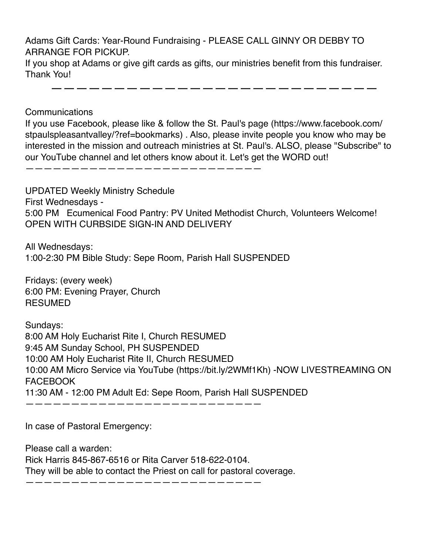Adams Gift Cards: Year-Round Fundraising - PLEASE CALL GINNY OR DEBBY TO ARRANGE FOR PICKUP.

If you shop at Adams or give gift cards as gifts, our ministries benefit from this fundraiser. Thank You!

——————————————————————————

**Communications** 

If you use Facebook, please like & follow the St. Paul's page (https://www.facebook.com/ stpaulspleasantvalley/?ref=bookmarks) . Also, please invite people you know who may be interested in the mission and outreach ministries at St. Paul's. ALSO, please "Subscribe" to our YouTube channel and let others know about it. Let's get the WORD out!

——————————————————————————

UPDATED Weekly Ministry Schedule First Wednesdays - 5:00 PM Ecumenical Food Pantry: PV United Methodist Church, Volunteers Welcome! OPEN WITH CURBSIDE SIGN-IN AND DELIVERY

All Wednesdays: 1:00-2:30 PM Bible Study: Sepe Room, Parish Hall SUSPENDED

Fridays: (every week) 6:00 PM: Evening Prayer, Church RESUMED

Sundays: 8:00 AM Holy Eucharist Rite I, Church RESUMED 9:45 AM Sunday School, PH SUSPENDED 10:00 AM Holy Eucharist Rite II, Church RESUMED 10:00 AM Micro Service via YouTube (https://bit.ly/2WMf1Kh) -NOW LIVESTREAMING ON FACEBOOK 11:30 AM - 12:00 PM Adult Ed: Sepe Room, Parish Hall SUSPENDED ——————————————————————————

In case of Pastoral Emergency:

Please call a warden: Rick Harris 845-867-6516 or Rita Carver 518-622-0104. They will be able to contact the Priest on call for pastoral coverage.

——————————————————————————